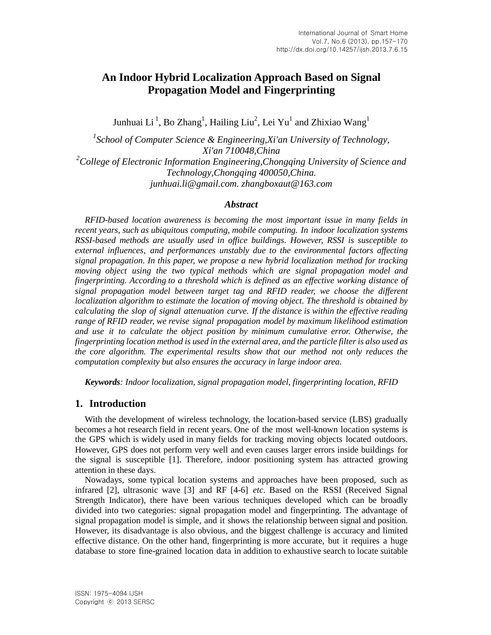# **An Indoor Hybrid Localization Approach Based on Signal Propagation Model and Fingerprinting**

Junhuai Li  $^1$ , Bo Zhang $^1$ , Hailing Liu $^2$ , Lei Yu $^1$  and Zhixiao Wang $^1$ 

<sup>1</sup> School of Computer Science & Engineering, Xi'an University of Technology, *Xi'an 710048,China 2 College of Electronic Information Engineering,Chongqing University of Science and Technology,Chongqing 400050,China. [junhuai.li@gmail.com.](mailto:junhuai.li@gmail.com) [zhangboxaut@163.com](mailto:zhangboxaut@163.com)*

#### *Abstract*

*RFID-based location awareness is becoming the most important issue in many fields in recent years, such as ubiquitous computing, mobile computing. In indoor localization systems RSSI-based methods are usually used in office buildings. However, RSSI is susceptible to external influences, and performances unstably due to the environmental factors affecting signal propagation. In this paper, we propose a new hybrid localization method for tracking moving object using the two typical methods which are signal propagation model and fingerprinting. According to a threshold which is defined as an effective working distance of signal propagation model between target tag and RFID reader, we choose the different localization algorithm to estimate the location of moving object. The threshold is obtained by calculating the slop of signal attenuation curve. If the distance is within the effective reading range of RFID reader, we revise signal propagation model by maximum likelihood estimation and use it to calculate the object position by minimum cumulative error. Otherwise, the fingerprinting location method is used in the external area, and the particle filter is also used as the core algorithm. The experimental results show that our method not only reduces the computation complexity but also ensures the accuracy in large indoor area.*

*Keywords: Indoor localization, signal propagation model, fingerprinting location, RFID*

# **1. Introduction**

With the development of wireless technology, the location-based service (LBS) gradually becomes a hot research field in recent years. One of the most well-known location systems is the GPS which is widely used in many fields for tracking moving objects located outdoors. However, GPS does not perform very well and even causes larger errors inside buildings for the signal is susceptible [1]. Therefore, indoor positioning system has attracted growing attention in these days.

Nowadays, some typical location systems and approaches have been proposed, such as infrared [2], ultrasonic wave [3] and RF [4-6] *etc*. Based on the RSSI (Received Signal Strength Indicator), there have been various techniques developed which can be broadly divided into two categories: signal propagation model and fingerprinting. The advantage of signal propagation model is simple, and it shows the relationship between signal and position. However, its disadvantage is also obvious, and the biggest challenge is accuracy and limited effective distance. On the other hand, fingerprinting is more accurate, but it requires a huge database to store fine-grained location data in addition to exhaustive search to locate suitable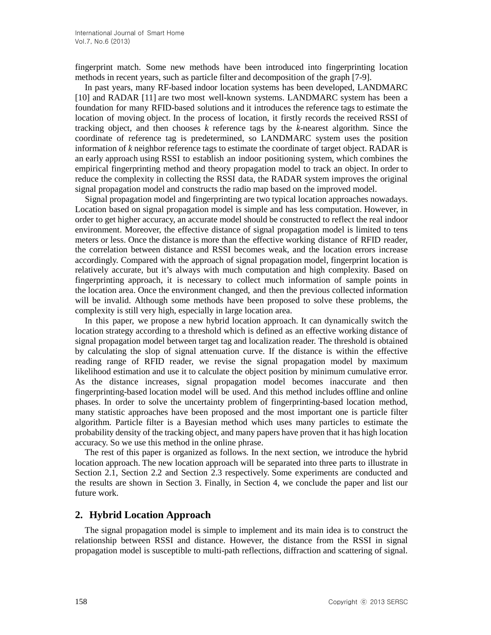fingerprint match. Some new methods have been introduced into fingerprinting location methods in recent years, such as particle filter and decomposition of the graph [7-9].

In past years, many RF-based indoor location systems has been developed, LANDMARC [10] and RADAR [11] are two most well-known systems. LANDMARC system has been a foundation for many RFID-based solutions and it introduces the reference tags to estimate the location of moving object. In the process of location, it firstly records the received RSSI of tracking object, and then chooses *k* reference tags by the *k*-nearest algorithm. Since the coordinate of reference tag is predetermined, so LANDMARC system uses the position information of *k* neighbor reference tags to estimate the coordinate of target object. RADAR is an early approach using RSSI to establish an indoor positioning system, which combines the empirical fingerprinting method and theory propagation model to track an object. In order to reduce the complexity in collecting the RSSI data, the RADAR system improves the original signal propagation model and constructs the radio map based on the improved model.

Signal propagation model and fingerprinting are two typical location approaches nowadays. Location based on signal propagation model is simple and has less computation. However, in order to get higher accuracy, an accurate model should be constructed to reflect the real indoor environment. Moreover, the effective distance of signal propagation model is limited to tens meters or less. Once the distance is more than the effective working distance of RFID reader, the correlation between distance and RSSI becomes weak, and the location errors increase accordingly. Compared with the approach of signal propagation model, fingerprint location is relatively accurate, but it's always with much computation and high complexity. Based on fingerprinting approach, it is necessary to collect much information of sample points in the location area. Once the environment changed, and then the previous collected information will be invalid. Although some methods have been proposed to solve these problems, the complexity is still very high, especially in large location area.

In this paper, we propose a new hybrid location approach. It can dynamically switch the location strategy according to a threshold which is defined as an effective working distance of signal propagation model between target tag and localization reader. The threshold is obtained by calculating the slop of signal attenuation curve. If the distance is within the effective reading range of RFID reader, we revise the signal propagation model by maximum likelihood estimation and use it to calculate the object position by minimum cumulative error. As the distance increases, signal propagation model becomes inaccurate and then fingerprinting-based location model will be used. And this method includes offline and online phases. In order to solve the uncertainty problem of fingerprinting-based location method, many statistic approaches have been proposed and the most important one is particle filter algorithm. Particle filter is a Bayesian method which uses many particles to estimate the probability density of the tracking object, and many papers have proven that it has high location accuracy. So we use this method in the online phrase.

The rest of this paper is organized as follows. In the next section, we introduce the hybrid location approach. The new location approach will be separated into three parts to illustrate in Section 2.1, Section 2.2 and Section 2.3 respectively. Some experiments are conducted and the results are shown in Section 3. Finally, in Section 4, we conclude the paper and list our future work.

# **2. Hybrid Location Approach**

The signal propagation model is simple to implement and its main idea is to construct the relationship between RSSI and distance. However, the distance from the RSSI in signal propagation model is susceptible to multi-path reflections, diffraction and scattering of signal.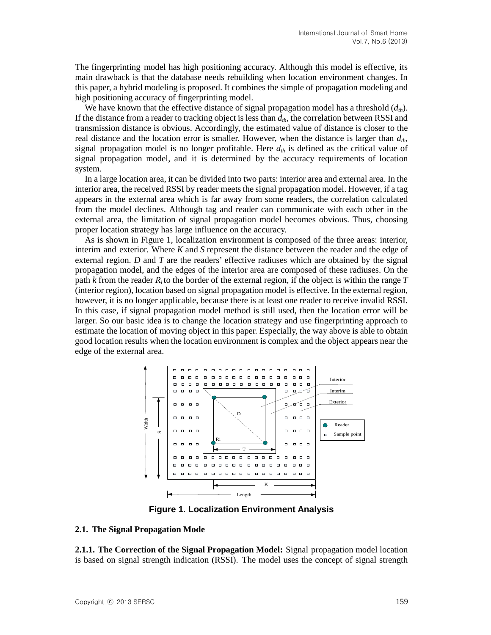The fingerprinting model has high positioning accuracy. Although this model is effective, its main drawback is that the database needs rebuilding when location environment changes. In this paper, a hybrid modeling is proposed. It combines the simple of propagation modeling and high positioning accuracy of fingerprinting model.

We have known that the effective distance of signal propagation model has a threshold  $(d_{th})$ . If the distance from a reader to tracking object is less than  $d_{th}$ , the correlation between RSSI and transmission distance is obvious. Accordingly, the estimated value of distance is closer to the real distance and the location error is smaller. However, when the distance is larger than  $d_{th}$ , signal propagation model is no longer profitable. Here  $d<sub>th</sub>$  is defined as the critical value of signal propagation model, and it is determined by the accuracy requirements of location system.

In a large location area, it can be divided into two parts: interior area and external area. In the interior area, the received RSSI by reader meets the signal propagation model. However, if a tag appears in the external area which is far away from some readers, the correlation calculated from the model declines. Although tag and reader can communicate with each other in the external area, the limitation of signal propagation model becomes obvious. Thus, choosing proper location strategy has large influence on the accuracy.

As is shown in Figure 1, localization environment is composed of the three areas: interior, interim and exterior. Where *K* and *S* represent the distance between the reader and the edge of external region. *D* and *T* are the readers' effective radiuses which are obtained by the signal propagation model, and the edges of the interior area are composed of these radiuses. On the path *k* from the reader *Ri* to the border of the external region, if the object is within the range *T* (interior region), location based on signal propagation model is effective. In the external region, however, it is no longer applicable, because there is at least one reader to receive invalid RSSI. In this case, if signal propagation model method is still used, then the location error will be larger. So our basic idea is to change the location strategy and use fingerprinting approach to estimate the location of moving object in this paper. Especially, the way above is able to obtain good location results when the location environment is complex and the object appears near the edge of the external area.



**Figure 1. Localization Environment Analysis**

#### **2.1. The Signal Propagation Mode**

**2.1.1. The Correction of the Signal Propagation Model:** Signal propagation model location is based on signal strength indication (RSSI). The model uses the concept of signal strength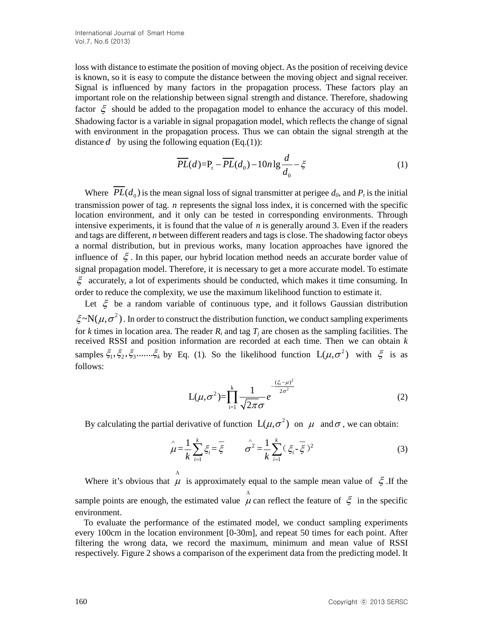loss with distance to estimate the position of moving object. As the position of receiving device is known, so it is easy to compute the distance between the moving object and signal receiver. Signal is influenced by many factors in the propagation process. These factors play an important role on the relationship between signal strength and distance. Therefore, shadowing factor  $\xi$  should be added to the propagation model to enhance the accuracy of this model. Shadowing factor is a variable in signal propagation model, which reflects the change of signal with environment in the propagation process. Thus we can obtain the signal strength at the distance  $d$  by using the following equation (Eq.(1)):

$$
\overline{PL}(d) = P_t - \overline{PL}(d_0) - 10n \lg \frac{d}{d_0} - \xi \tag{1}
$$

Where  $\overline{PL}(d_0)$  is the mean signal loss of signal transmitter at perigee  $d_0$ , and  $P_t$  is the initial transmission power of tag. *n* represents the signal loss index, it is concerned with the specific location environment, and it only can be tested in corresponding environments. Through intensive experiments, it is found that the value of *n* is generally around 3. Even if the readers and tags are different, *n* between different readers and tags is close. The shadowing factor obeys a normal distribution, but in previous works, many location approaches have ignored the influence of  $\xi$ . In this paper, our hybrid location method needs an accurate border value of signal propagation model. Therefore, it is necessary to get a more accurate model. To estimate  $\xi$  accurately, a lot of experiments should be conducted, which makes it time consuming. In order to reduce the complexity, we use the maximum likelihood function to estimate it.

Let  $\xi$  be a random variable of continuous type, and it follows Gaussian distribution  $\zeta \sim N(\mu, \sigma^2)$ . In order to construct the distribution function, we conduct sampling experiments for *k* times in location area. The reader  $R_i$  and tag  $T_j$  are chosen as the sampling facilities. The received RSSI and position information are recorded at each time. Then we can obtain *k* samples  $\xi_1, \xi_2, \xi_3, \dots, \xi_k$  by Eq. (1). So the likelihood function  $L(\mu, \sigma^2)$  with  $\xi$  is as follows:

$$
L(\mu, \sigma^2) = \prod_{i=1}^k \frac{1}{\sqrt{2\pi}\sigma} e^{-\frac{(\xi_i - \mu)^2}{2\sigma^2}}
$$
(2)

By calculating the partial derivative of function  $L(\mu, \sigma^2)$  on  $\mu$  and  $\sigma$ , we can obtain:

$$
\hat{\mu} = \frac{1}{k} \sum_{i=1}^{k} \xi_i = \overline{\xi} \qquad \hat{\sigma}^2 = \frac{1}{k} \sum_{i=1}^{k} (\xi_i - \overline{\xi})^2
$$
(3)

Where it's obvious that  $\mu$  $\mu$  is approximately equal to the sample mean value of  $\xi$ . If the sample points are enough, the estimated value  $\mu$  $\mu$  can reflect the feature of  $\xi$  in the specific environment.

To evaluate the performance of the estimated model, we conduct sampling experiments every 100cm in the location environment [0-30m], and repeat 50 times for each point. After filtering the wrong data, we record the maximum, minimum and mean value of RSSI respectively. Figure 2 shows a comparison of the experiment data from the predicting model. It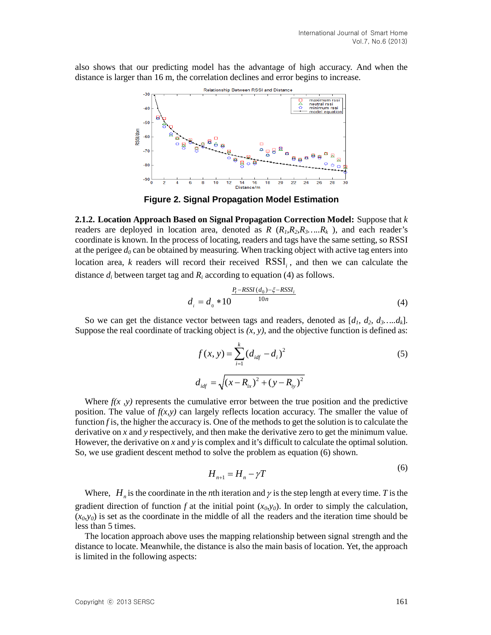also shows that our predicting model has the advantage of high accuracy. And when the distance is larger than 16 m, the correlation declines and error begins to increase.



**Figure 2. Signal Propagation Model Estimation**

**2.1.2. Location Approach Based on Signal Propagation Correction Model:** Suppose that *k* readers are deployed in location area, denoted as  $R$  ( $R_1, R_2, R_3, \ldots, R_k$ ), and each reader's coordinate is known. In the process of locating, readers and tags have the same setting, so RSSI at the perigee  $d_0$  can be obtained by measuring. When tracking object with active tag enters into location area, *k* readers will record their received RSSI<sub>i</sub>, and then we can calculate the distance *di* between target tag and *Ri* according to equation (4) as follows.

$$
d_i = d_0 * 10^{\frac{P_t - RSSI(d_0) - \xi - RSSI_i}{10n}}
$$
(4)

So we can get the distance vector between tags and readers, denoted as  $[d_1, d_2, d_3, \ldots, d_k]$ . Suppose the real coordinate of tracking object is *(x, y)*, and the objective function is defined as:

$$
f(x, y) = \sum_{i=1}^{k} (d_{idf} - d_i)^2
$$
\n
$$
d_{idf} = \sqrt{(x - R_{ix})^2 + (y - R_{iy})^2}
$$
\n(5)

Where  $f(x, y)$  represents the cumulative error between the true position and the predictive position. The value of  $f(x,y)$  can largely reflects location accuracy. The smaller the value of function *f* is, the higher the accuracy is. One of the methods to get the solution is to calculate the derivative on *x* and *y* respectively, and then make the derivative zero to get the minimum value. However, the derivative on *x* and *y* is complex and it's difficult to calculate the optimal solution. So, we use gradient descent method to solve the problem as equation (6) shown.

$$
H_{n+1} = H_n - \gamma T \tag{6}
$$

Where,  $H_n$  is the coordinate in the *n*th iteration and  $\gamma$  is the step length at every time. *T* is the gradient direction of function *f* at the initial point  $(x_0, y_0)$ . In order to simply the calculation,  $(x_0, y_0)$  is set as the coordinate in the middle of all the readers and the iteration time should be less than 5 times.

The location approach above uses the mapping relationship between signal strength and the distance to locate. Meanwhile, the distance is also the main basis of location. Yet, the approach is limited in the following aspects: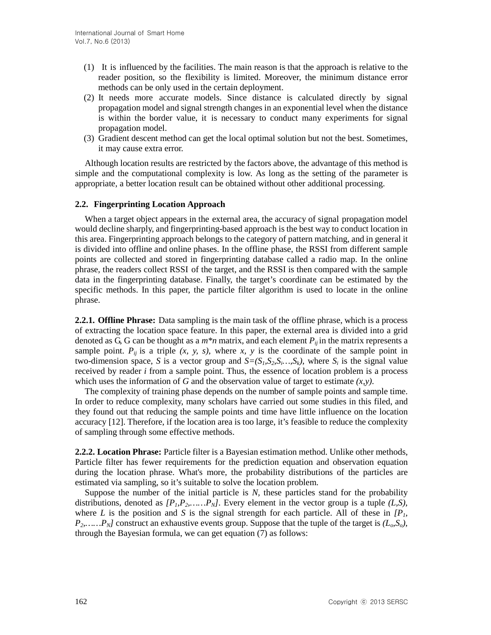- (1) It is influenced by the facilities. The main reason is that the approach is relative to the reader position, so the flexibility is limited. Moreover, the minimum distance error methods can be only used in the certain deployment.
- (2) It needs more accurate models. Since distance is calculated directly by signal propagation model and signal strength changes in a[n exponential](http://dict.cn/exponential) level when the distance is within the border value, it is necessary to conduct many experiments for signal propagation model.
- (3) Gradient descent method can get the local optimal solution but not the best. Sometimes, it may cause extra error.

Although location results are restricted by the factors above, the advantage of this method is simple and the computational complexity is low. As long as the setting of the parameter is appropriate, a better location result can be obtained without other additional processing.

#### **2.2. Fingerprinting Location Approach**

When a target object appears in the external area, the accuracy of signal propagation model would decline sharply, and fingerprinting-based approach is the best way to conduct location in this area. Fingerprinting approach belongs to the category of pattern matching, and in general it is divided into offline and online phases. In the offline phase, the RSSI from different sample points are collected and stored in fingerprinting database called a radio map. In the online phrase, the readers collect RSSI of the target, and the RSSI is then compared with the sample data in the fingerprinting database. Finally, the target's coordinate can be estimated by the specific methods. In this paper, the particle filter algorithm is used to locate in the online phrase.

**2.2.1. Offline Phrase:** Data sampling is the main task of the offline phrase, which is a process of extracting the location space feature. In this paper, the external area is divided into a grid denoted as G, G can be thought as a  $m*n$  matrix, and each element  $P_{ij}$  in the matrix represents a sample point.  $P_{ij}$  is a triple  $(x, y, s)$ , where  $x, y$  is the coordinate of the sample point in [two-dimension space,](http://dict.cn/two%20dimensional%20space) *S* is a vector group and  $S=(S_1,S_2,S_3,\ldots,S_k)$ , where  $S_i$  is the signal value received by reader *i* from a sample point. Thus, the essence of location problem is a process which uses the information of *G* and the [observation value](http://dict.cn/observation%20value) of target to estimate  $(x, y)$ .

The complexity of training phase depends on the number of sample points and sample time. In order to reduce complexity, many scholars have carried out some studies in this filed, and they found out that reducing the sample points and time have little influence on the location accuracy [12]. Therefore, if the location area is too large, it'[s feasible](http://dict.cn/feasible) to reduce the complexity of sampling through some effective methods.

**2.2.2. Location Phrase:** Particle filter is a Bayesian estimation method. Unlike other methods, Particle filter has fewer requirements for the prediction equation and observation equation during the location phrase. What's more, the probability distributions of the particles are estimated via sampling, so it's suitable to solve the location problem.

Suppose the number of the initial particle is  $N$ , these particles stand for the probability distributions, denoted as  $[P_1, P_2, \ldots, P_N]$ . Every element in the vector group is a tuple  $(L, S)$ , where *L* is the position and *S* is the signal strength for each particle. All of these in  $\{P_l,$  $P_2, \ldots, P_N$ ] construct an exhaustive events group. Suppose that the tuple of the target is  $(L_o, S_o)$ , through the Bayesian formula, we can get equation (7) as follows: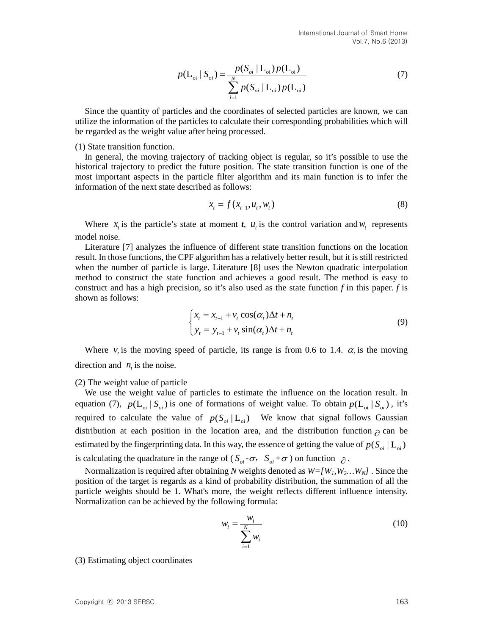$$
p(\mathbf{L}_{oi} | S_{oi}) = \frac{p(S_{oi} | \mathbf{L}_{oi}) p(\mathbf{L}_{oi})}{\sum_{i=1}^{N} p(S_{oi} | \mathbf{L}_{oi}) p(\mathbf{L}_{oi})}
$$
(7)

Since the quantity of particles and the coordinates of selected particles are known, we can utilize the information of the particles to calculate their corresponding probabilities which will be regarded as the weight value after being processed.

(1) State transition function.

In general, the moving trajectory of tracking object is regular, so it's possible to use the historical trajectory to predict the future position. The state transition function is one of the most important aspects in the particle filter algorithm and its main function is to infer the information of the next state described as follows:

$$
x_{t} = f(x_{t-1}, u_{t}, w_{t})
$$
\n(8)

Where  $x_t$  is the particle's state at moment *t*,  $u_t$  is the control variation and  $w_t$  represents model noise.

Literature [7] analyzes the influence of different state transition functions on the location result. In those functions, the CPF algorithm has a relatively better result, but it is still restricted when the number of particle is large. Literature [8] uses the Newton quadratic interpolation method to construct the state function and achieves a good result. The method is easy to construct and has a high precision, so it's also used as the state function *f* in this paper. *f* is shown as follows:

$$
\begin{cases} x_t = x_{t-1} + v_t \cos(\alpha_t) \Delta t + n_t \\ y_t = y_{t-1} + v_t \sin(\alpha_t) \Delta t + n_t \end{cases}
$$
(9)

Where  $v_t$  is the moving speed of particle, its range is from 0.6 to 1.4.  $\alpha_t$  is the moving direction and  $n<sub>t</sub>$  is the noise.

(2) The weight value of particle

We use the weight value of particles to estimate the influence on the location result. In equation (7),  $p(L_{oi} | S_{oi})$  is one of formations of weight value. To obtain  $p(L_{oi} | S_{oi})$ , it's required to calculate the value of  $p(S_{oi} | L_{oi})$  We know that signal follows Gaussian distribution at each position in the location area, and the distribution function  $\partial$  can be estimated by the fingerprinting data. In this way, the essence of getting the value of  $p(S_{oi} | L_{oi})$ is calculating the quadrature in the range of ( $S_{oi}$  - $\sigma$ ,  $S_{oi}$  + $\sigma$ ) on function  $\partial$ .

Normalization is required after obtaining *N* weights denoted as  $W=[W_1,W_2...W_N]$ . Since the position of the target is regards as a kind of probability distribution, the summation of all the particle weights should be 1. What's more, the weight reflects different influence intensity. Normalization can be achieved by the following formula:

$$
w_i = \frac{w_i}{\sum_{i=1}^{N} w_i}
$$
 (10)

(3) Estimating object coordinates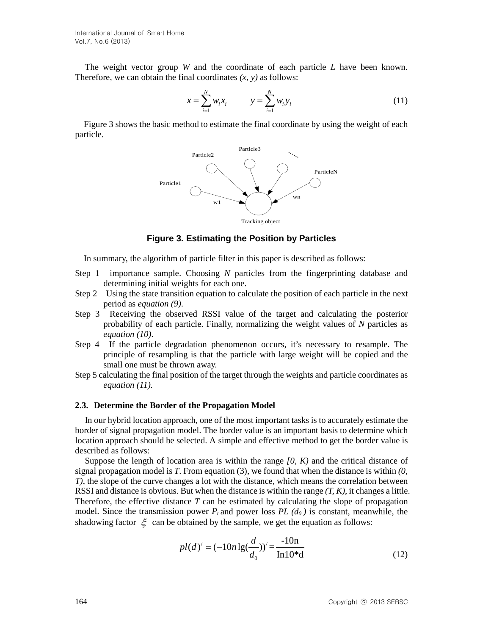The weight vector group *W* and the coordinate of each particle *L* have been known. Therefore, we can obtain the final coordinates *(x, y)* as follows:

$$
x = \sum_{i=1}^{N} w_i x_i \qquad \qquad y = \sum_{i=1}^{N} w_i y_i \tag{11}
$$

Figure 3 shows the basic method to estimate the final coordinate by using the weight of each particle.



**Figure 3. Estimating the Position by Particles**

In summary, the algorithm of particle filter in this paper is described as follows:

- Step 1 importance sample. Choosing *N* particles from the fingerprinting database and determining initial weights for each one.
- Step 2 Using the state transition equation to calculate the position of each particle in the next period as *equation (9)*.
- Step 3 Receiving the observed RSSI value of the target and calculating the posterior probability of each particle. Finally, normalizing the weight values of *N* particles as *equation (10)*.
- Step 4 If the particle degradation phenomenon occurs, it's necessary to resample. The principle of resampling is that the particle with large weight will be copied and the small one must be thrown away.
- Step 5 calculating the final position of the target through the weights and particle coordinates as *equation (11).*

#### **2.3. Determine the Border of the Propagation Model**

In our hybrid location approach, one of the most important tasks is to accurately estimate the border of signal propagation model. The border value is an important basis to determine which location approach should be selected. A simple and effective method to get the border value is described as follows:

Suppose the length of location area is within the range *[0, K)* and the critical distance of signal propagation model is *T*. From equation (3), we found that when the distance is within *(0, T)*, the slope of the curve changes a lot with the distance, which means the correlation between RSSI and distance is obvious. But when the distance is within the range *(T, K)*, it changes a little. Therefore, the effective distance *T* can be estimated by calculating the slope of propagation model. Since the transmission power  $P_t$  and power loss  $PL(d_0)$  is constant, meanwhile, the shadowing factor  $\xi$  can be obtained by the sample, we get the equation as follows:

$$
pl(d)' = (-10n \lg(\frac{d}{d_0}))' = \frac{-10n}{\ln 10^*d}
$$
 (12)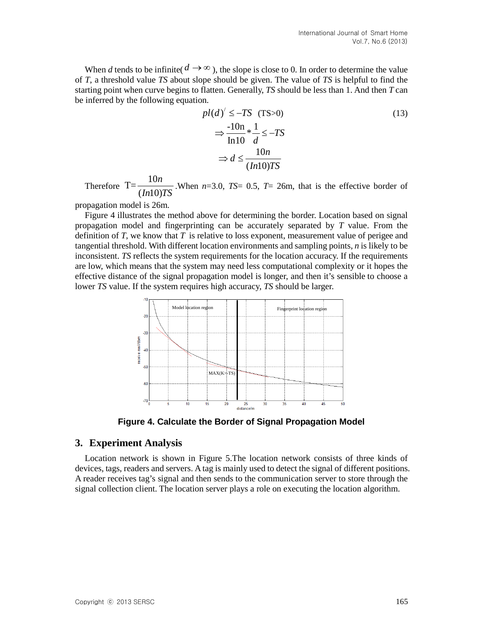When *d* tends to be infinite( $d \rightarrow \infty$ ), the slope is close to 0. In order to determine the value of *T*, a threshold value *TS* about slope should be given. The value of *TS* is helpful to find the starting point when curve begins to flatten. Generally, *TS* should be less than 1. And then *T* can be inferred by the following equation.

$$
pl(d)' \le -TS \text{ (TS>0)}
$$
  
\n
$$
\Rightarrow \frac{-10n}{\ln 10} * \frac{1}{d} \le -TS
$$
  
\n
$$
\Rightarrow d \le \frac{10n}{(In10)TS}
$$
 (13)

Therefore  $T=\frac{10}{(1.16)}$  $( In 10)$ *n*  $\frac{1}{I}$  When *n*=3.0, *TS*= 0.5, *T*= 26m, that is the effective border of  $\frac{I}{I}$ 

propagation model is 26m.

Figure 4 illustrates the method above for determining the border. Location based on signal propagation model and fingerprinting can be accurately separated by *T* value. From the definition of  $T$ , we know that  $T$  is relative to loss exponent, measurement value of perigee and tangential threshold. With different location environments and sampling points, *n* is likely to be inconsistent. *TS* reflects the system requirements for the location accuracy. If the requirements are low, which means that the system may need less computational complexity or it hopes the effective distance of the signal propagation model is longer, and then it's sensible to choose a lower *TS* value. If the system requires high accuracy, *TS* should be larger.



**Figure 4. Calculate the Border of Signal Propagation Model**

#### **3. Experiment Analysis**

Location network is shown in Figure 5.The location network consists of three kinds of devices, tags, readers and servers. A tag is mainly used to detect the signal of different positions. A reader receives tag's signal and then sends to the communication server to store through the signal collection client. The location server plays a role on executing the location algorithm.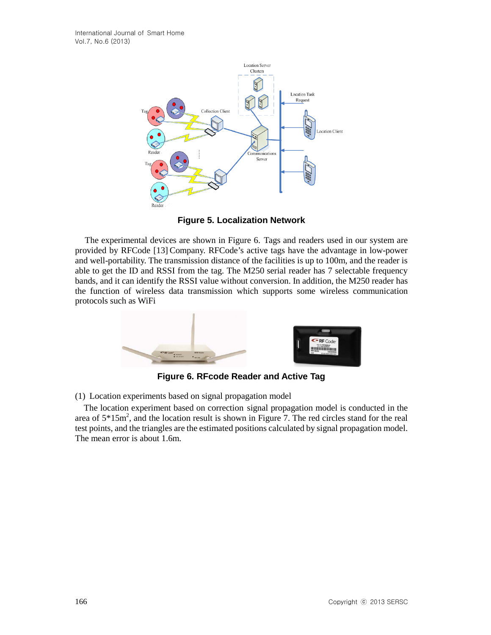

**Figure 5. Localization Network**

The experimental devices are shown in Figure 6. Tags and readers used in our system are provided by RFCode [13] Company. RFCode's active tags have the advantage in low-power and well-portability. The transmission distance of the facilities is up to 100m, and the reader is able to get the ID and RSSI from the tag. The M250 serial reader has 7 selectable frequency bands, and it can identify the RSSI value without conversion. In addition, the M250 reader has the function of wireless data transmission which supports some wireless communication protocols such as WiFi



**Figure 6. RFcode Reader and Active Tag**

(1) Location experiments based on signal propagation model

The location experiment based on correction signal propagation model is conducted in the area of  $5*15m^2$ , and the location result is shown in Figure 7. The red circles stand for the real test points, and the triangles are the estimated positions calculated by signal propagation model. The mean error is about 1.6m.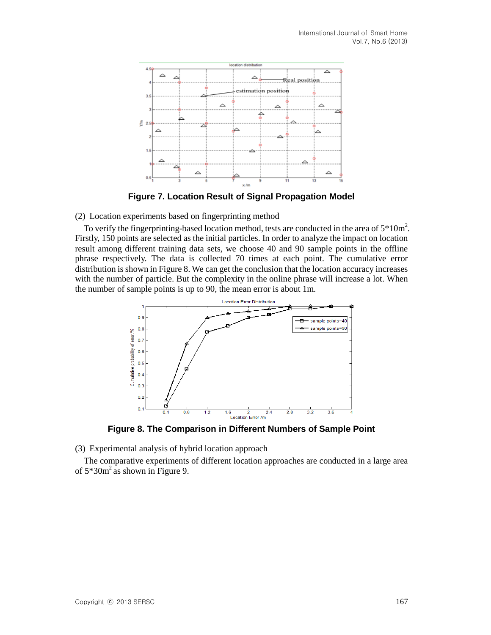

**Figure 7. Location Result of Signal Propagation Model**

(2) Location experiments based on fingerprinting method

To verify the fingerprinting-based location method, tests are conducted in the area of  $5*10m^2$ . Firstly, 150 points are selected as the initial particles. In order to analyze the impact on location result among different training data sets, we choose 40 and 90 sample points in the offline phrase respectively. The data is collected 70 times at each point. The cumulative error distribution is shown in Figure 8. We can get the conclusion that the location accuracy increases with the number of particle. But the complexity in the online phrase will increase a lot. When the number of sample points is up to 90, the mean error is about 1m.



**Figure 8. The Comparison in Different Numbers of Sample Point**

(3) Experimental analysis of hybrid location approach

The comparative experiments of different location approaches are conducted in a large area of  $5*30m^2$  as shown in Figure 9.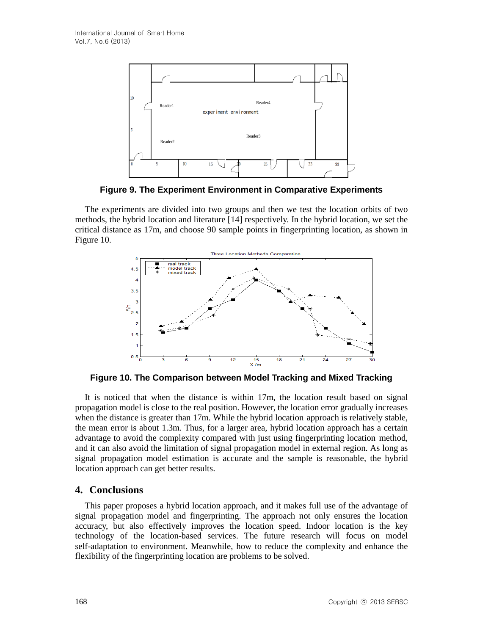

**Figure 9. The Experiment Environment in Comparative Experiments**

The experiments are divided into two groups and then we test the location orbits of two methods, the hybrid location and literature [14] respectively. In the hybrid location, we set the critical distance as 17m, and choose 90 sample points in fingerprinting location, as shown in Figure 10.



**Figure 10. The Comparison between Model Tracking and Mixed Tracking**

It is noticed that when the distance is within 17m, the location result based on signal propagation model is close to the real position. However, the location error gradually increases when the distance is greater than 17m. While the hybrid location approach is relatively stable, the mean error is about 1.3m. Thus, for a larger area, hybrid location approach has a certain advantage to avoid the complexity compared with just using fingerprinting location method, and it can also avoid the limitation of signal propagation model in external region. As long as signal propagation model estimation is accurate and the sample is reasonable, the hybrid location approach can get better results.

# **4. Conclusions**

This paper proposes a hybrid location approach, and it makes full use of the advantage of signal propagation model and fingerprinting. The approach not only ensures the location accuracy, but also effectively improves the location speed. Indoor location is the key technology of the location-based services. The future research will focus on model self-adaptation to environment. Meanwhile, how to reduce the complexity and enhance the flexibility of the fingerprinting location are problems to be solved.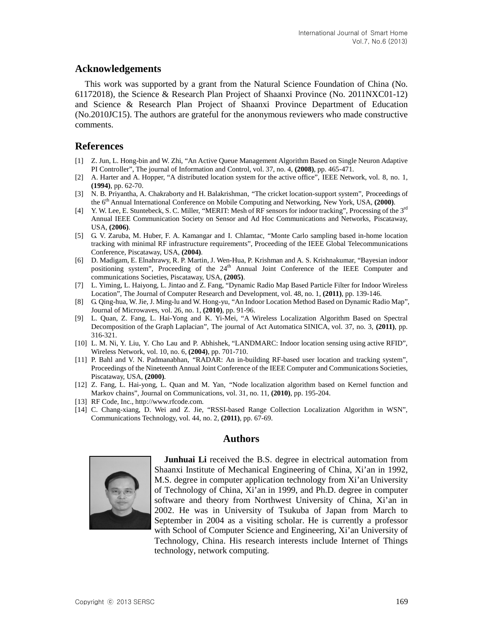# **Acknowledgements**

This work was supported by a grant from the Natural Science Foundation of China (No. 61172018), the Science & Research Plan Project of Shaanxi Province (No. 2011NXC01-12) and Science & Research Plan Project of Shaanxi Province Department of Education (No.2010JC15). The authors are grateful for the anonymous reviewers who made constructive comments.

# **References**

- [1] Z. Jun, L. Hong-bin and W. Zhi, "An Active Queue Management Algorithm Based on Single Neuron Adaptive PI Controller", The journal of Information and Control, vol. 37, no. 4, **(2008)**, pp. 465-471.
- [2] A. Harter and A. Hopper, "A distributed location system for the active office", IEEE Network, vol. 8, no. 1, **(1994)**, pp. 62-70.
- [3] N. B. Priyantha, A. Chakraborty and H. Balakrishman, "The cricket location-support system", Proceedings of the 6th Annual International Conference on Mobile Computing and Networking, New York, USA, **(2000)**.
- [4] Y. W. Lee, E. Stuntebeck, S. C. Miller, "MERIT: Mesh of RF sensors for indoor tracking", Processing of the 3rd Annual IEEE Communication Society on Sensor and Ad Hoc Communications and Networks, Piscataway, USA, **(2006)**.
- [5] G. V. Zaruba, M. Huber, F. A. Kamangar and I. Chlamtac, "Monte Carlo sampling based in-home location tracking with minimal RF infrastructure requirements", Proceeding of the IEEE Global Telecommunications Conference, Piscataway, USA, **(2004)**.
- [6] D. Madigam, E. Elnahrawy, R. P. Martin, J. Wen-Hua, P. Krishman and A. S. Krishnakumar, "Bayesian indoor positioning system", Proceeding of the  $24<sup>th</sup>$  Annual Joint Conference of the IEEE Computer and communications Societies, Piscataway, USA, **(2005)**.
- [7] L. Yiming, L. Haiyong, L. Jintao and Z. Fang, "Dynamic Radio Map Based Particle Filter for Indoor Wireless Location", The Journal of Computer Research and Development, vol. 48, no. 1, **(2011)**, pp. 139-146.
- [8] G. Qing-hua, W. Jie, J. Ming-lu and W. Hong-yu, "An Indoor Location Method Based on Dynamic Radio Map", Journal of Microwaves, vol. 26, no. 1, **(2010)**, pp. 91-96.
- [9] L. Quan, Z. Fang, L. Hai-Yong and K. Yi-Mei, "A Wireless Localization Algorithm Based on Spectral Decomposition of the Graph Laplacian", The journal of Act Automatica SINICA, vol. 37, no. 3, **(2011)**, pp. 316-321.
- [10] L. M. Ni, Y. Liu, Y. Cho Lau and P. Abhishek, "LANDMARC: Indoor location sensing using active RFID", Wireless Network, vol. 10, no. 6, **(2004)**, pp. 701-710.
- [11] P. Bahl and V. N. Padmanabhan, "RADAR: An in-building RF-based user location and tracking system", Proceedings of the Nineteenth Annual Joint Conference of the IEEE Computer and Communications Societies, Piscataway, USA, **(2000)**.
- [12] Z. Fang, L. Hai-yong, L. Quan and M. Yan, "Node localization algorithm based on Kernel function and Markov chains", Journal on Communications, vol. 31, no. 11, **(2010)**, pp. 195-204.
- [13] RF Code, Inc.[, http://www.rfcode.com.](http://www.rfcode.com/)
- [14] C. Chang-xiang, D. Wei and Z. Jie, "RSSI-based Range Collection Localization Algorithm in WSN", Communications Technology, vol. 44, no. 2, **(2011)**, pp. 67-69.

# **Authors**



**Junhuai Li** received the B.S. degree in electrical automation from Shaanxi Institute of Mechanical Engineering of China, Xi'an in 1992, M.S. degree in computer application technology from Xi'an University of Technology of China, Xi'an in 1999, and Ph.D. degree in computer software and theory from Northwest University of China, Xi'an in 2002. He was in University of Tsukuba of Japan from March to September in 2004 as a visiting scholar. He is currently a professor with School of Computer Science and Engineering, Xi'an University of Technology, China. His research interests include Internet of Things technology, network computing.